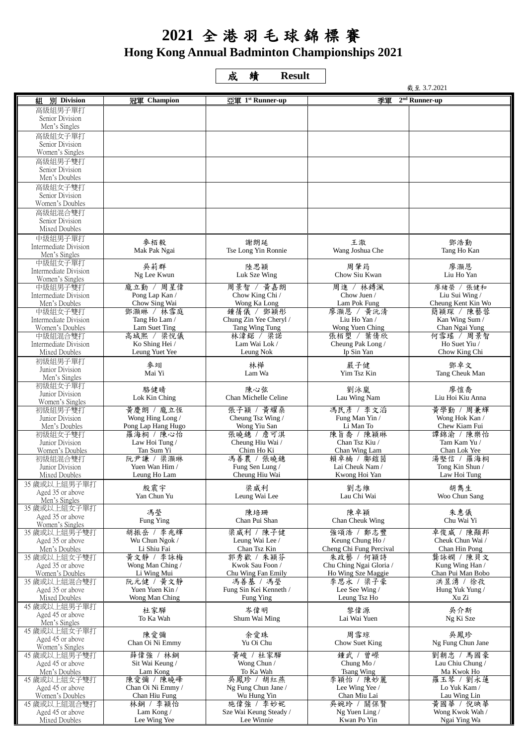## **2021** 全港羽毛球錦標賽 **Hong Kong Annual Badminton Championships 2021**

成績 **Result** 

|                                          |                                    | 截至 3.7.2021                              |                                               |                                      |  |
|------------------------------------------|------------------------------------|------------------------------------------|-----------------------------------------------|--------------------------------------|--|
| <b>別</b> Division<br>組                   | 冠軍 Champion                        | 亞軍 1st Runner-up                         | 季軍<br>$2nd$ Runner-up                         |                                      |  |
| 高級組男子單打                                  |                                    |                                          |                                               |                                      |  |
| Senior Division                          |                                    |                                          |                                               |                                      |  |
| Men's Singles<br>高級組女子單打                 |                                    |                                          |                                               |                                      |  |
| Senior Division                          |                                    |                                          |                                               |                                      |  |
| Women's Singles                          |                                    |                                          |                                               |                                      |  |
| 高級組男子雙打                                  |                                    |                                          |                                               |                                      |  |
| Senior Division                          |                                    |                                          |                                               |                                      |  |
| Men's Doubles                            |                                    |                                          |                                               |                                      |  |
| 高級組女子雙打<br>Senior Division               |                                    |                                          |                                               |                                      |  |
| Women's Doubles                          |                                    |                                          |                                               |                                      |  |
| 高級組混合雙打                                  |                                    |                                          |                                               |                                      |  |
| Senior Division                          |                                    |                                          |                                               |                                      |  |
| Mixed Doubles                            |                                    |                                          |                                               |                                      |  |
| 中級組男子單打<br>Intermediate Division         | 麥栢毅                                | 謝朗延                                      | 王澈                                            | 鄧浩勤                                  |  |
| Men's Singles                            | Mak Pak Ngai                       | Tse Long Yin Ronnie                      | Wang Joshua Che                               | Tang Ho Kan                          |  |
| 中級組女子單打                                  | 吳莉群                                | 陸思穎                                      | 周肇筠                                           | 廖灏恩                                  |  |
| Intermediate Division                    | Ng Lee Kwun                        | Luk Sze Wing                             | Chow Siu Kwan                                 | Liu Ho Yan                           |  |
| Women's Singles<br>中級組男子雙打               | 龐立勤 / 周星偉                          | 周景智 / 黄嘉朗                                | 周進 / 林鎛渢                                      | 廖緒榮 / 張健和                            |  |
| Intermediate Division                    | Pong Lap Kan /                     | Chow King Chi /                          | Chow Juen /                                   | Liu Sui Wing/                        |  |
| Men's Doubles                            | Chow Sing Wai                      | Wong Ka Long                             | Lam Pok Fung                                  | Cheung Kent Kin Wo                   |  |
| 中級組女子雙打                                  | 鄧灝琳 / 林雪庭                          | 鍾蒨儀 / 鄧穎形                                | 廖灝恩 / 黃沅清                                     | 簡穎琛 / 陳藝蓉                            |  |
| Intermediate Division<br>Women's Doubles | Tang Ho Lam /<br>Lam Suet Ting     | Chung Zin Yee Cheryl /<br>Tang Wing Tung | Liu Ho Yan /<br>Wong Yuen Ching               | Kan Wing Sum /<br>Chan Ngai Yung     |  |
| 中級組混合雙打                                  | 高城熙 / 梁悅儀                          | 林湋鍩 / 梁諾                                 | 張栢塱 / 葉倩欣                                     | 何雪瑤 / 周景智                            |  |
| Intermediate Division                    | Ko Shing Hei /                     | Lam Wai Lok /                            | Cheung Pak Long /                             | Ho Suet Yiu /                        |  |
| Mixed Doubles                            | Leung Yuet Yee                     | Leung Nok                                | Ip Sin Yan                                    | Chow King Chi                        |  |
| 初級組男子單打                                  | 麥翊                                 | 林樺                                       | 嚴子健                                           | 鄧卓文                                  |  |
| Junior Division<br>Men's Singles         | Mai Yi                             | Lam Wa                                   | Yim Tsz Kin                                   | Tang Cheuk Man                       |  |
| 初級組女子單打                                  | 駱健晴                                | 陳心弦                                      | 劉泳嵐                                           | 廖愷喬                                  |  |
| Junior Division                          | Lok Kin Ching                      | Chan Michelle Celine                     | Lau Wing Nam                                  | Liu Hoi Kiu Anna                     |  |
| Women's Singles<br>初級組男子雙打               | 黃慶朗 / 龐立恆                          | 張子穎 / 黃耀桑                                | 馮民彥 / 李文滔                                     | 黃學勤 / 周兼輝                            |  |
| Junior Division                          | Wong Hing Long /                   | Cheung Tsz Wing /                        | Fung Man Yin /                                | Wong Hok Kan /                       |  |
| Men's Doubles                            | Pong Lap Hang Hugo                 | Wong Yiu San                             | Li Man To                                     | Chew Kiam Fui                        |  |
| 初級組女子雙打                                  | 羅海桐 / 陳心怡                          | 張曉鏸 / 詹可淇                                | 陳旨喬 / 陳穎琳                                     | 譚錦渝 / 陳樂怡                            |  |
| Junior Division<br>Women's Doubles       | Law Hoi Tung /<br>Tan Sum Yi       | Cheung Hiu Wai /<br>Chim Ho Ki           | Chan Tsz Kiu /<br>Chan Wing Lam               | Tam Kam Yu /<br>Chan Lok Yee         |  |
| 初級組混合雙打                                  | 阮尹謙 / 梁灝琳                          | 馮善農 / 張曉鏸                                | 賴卓楠 / 鄺鎧茵                                     | 湯堅信 / 羅海桐                            |  |
| Junior Division                          | Yuen Wan Him /                     | Fung Sen Lung /                          | Lai Cheuk Nam /                               | Tong Kin Shun /                      |  |
| Mixed Doubles                            | Leung Ho Lam                       | Cheung Hiu Wai                           | Kwong Hoi Yan                                 | Law Hoi Tung                         |  |
| 35 歲或以上組男子單打<br>Aged 35 or above         | 殷震宇                                | 梁威利                                      | 劉志維                                           | 胡雋生                                  |  |
| Men's Singles                            | Yan Chun Yu                        | Leung Wai Lee                            | Lau Chi Wai                                   | Woo Chun Sang                        |  |
| 35 歲或以上組女子單打                             | 馮瑩                                 | 陳培珊                                      | 陳卓穎                                           | 朱惠儀                                  |  |
| Aged 35 or above                         | Fung Ying                          | Chan Pui Shan                            | Chan Cheuk Wing                               | Chu Wai Yi                           |  |
| Women's Singles<br>35 歲或以上組男子雙打          | 胡振岳 / 李兆輝                          | 梁威利 / 陳子健                                | 強頌浩 / 鄭志豐                                     | 卓俊威 / 陳顯邦                            |  |
| Aged 35 or above                         | Wu Chun Ngok /                     | Leung Wai Lee /                          | Keung Chung Ho /                              | Cheuk Chun Wai /                     |  |
| Men's Doubles                            | Li Shiu Fai                        | Chan Tsz Kin                             | Cheng Chi Fung Percival                       | Chan Hin Pong                        |  |
| 35 歲或以上組女子雙打                             | 黃文靜 / 李詠梅                          | 郭秀歡 / 朱穎芬                                | 朱政藝 / 何穎詩                                     | 龔詠嫻 / 陳貝文                            |  |
| Aged 35 or above<br>Women's Doubles      | Wong Man Ching /<br>Li Wing Mui    | Kwok Sau Foon /<br>Chu Wing Fan Emily    | Chu Ching Ngai Gloria /<br>Ho Wing Sze Maggie | Kung Wing Han /<br>Chan Pui Man Bobo |  |
| 35 歲或以上組混合雙打                             | 阮元健 / 黄文靜                          | 馮善基 / 馮瑩                                 | 李思永 / 梁子豪                                     | 洪昱湧 / 徐孜                             |  |
| Aged 35 or above                         | Yuen Yuen Kin /                    | Fung Sin Kei Kenneth /                   | Lee See Wing /                                | Hung Yuk Yung /                      |  |
| Mixed Doubles                            | Wong Man Ching                     | Fung Ying                                | Leung Tsz Ho                                  | Xu Zi                                |  |
| 45 歲或以上組男子單打<br>Aged 45 or above         | 杜家驊                                | 岑偉明                                      | 黎偉源                                           | 吳介斯                                  |  |
| Men's Singles                            | To Ka Wah                          | Shum Wai Ming                            | Lai Wai Yuen                                  | Ng Ki Sze                            |  |
| 45 歳或以上組女子單打                             | 陳愛彌                                | 余爱珠                                      | 周雪琼                                           | 吳鳳珍                                  |  |
| Aged 45 or above                         | Chan Oi Ni Emmy                    | Yu Oi Chu                                | Chow Suet King                                | Ng Fung Chun Jane                    |  |
| Women's Singles<br>45 歲或以上組男子雙打          | 薛偉強 / 林鋼                           | 黄峻 / 杜家驊                                 | 鍾武 / 曾嶸                                       | 劉朝忠 / 馬國豪                            |  |
| Aged 45 or above                         | Sit Wai Keung /                    | Wong Chun /                              | Chung Mo/                                     | Lau Chiu Chung /                     |  |
| Men's Doubles                            | Lam Kong                           | To Ka Wah                                | <b>Tsang Wing</b>                             | Ma Kwok Ho                           |  |
| 45 歳或以上組女子雙打                             | 陳愛彌 / 陳曉峰                          | 吳鳳珍 / 胡紅燕                                | 李穎怡 / 陳妙麗                                     | 羅玉琴 / 劉永蓮                            |  |
| Aged 45 or above<br>Women's Doubles      | Chan Oi Ni Emmy /<br>Chan Hiu Fung | Ng Fung Chun Jane /<br>Wu Hung Yin       | Lee Wing Yee /<br>Chan Miu Lai                | Lo Yuk Kam /<br>Lau Wing Lin         |  |
| 45 歲或以上組混合雙打                             | 林鋼 / 李穎怡                           | 施偉強 / 李妙妮                                | 吳婉玲 / 關保賢                                     | 黃國華 / 倪映華                            |  |
| Aged 45 or above                         | Lam Kong /                         | Sze Wai Keung Steady /                   | Ng Yuen Ling /                                | Wong Kwok Wah /                      |  |
| Mixed Doubles                            | Lee Wing Yee                       | Lee Winnie                               | Kwan Po Yin                                   | Ngai Ying Wa                         |  |